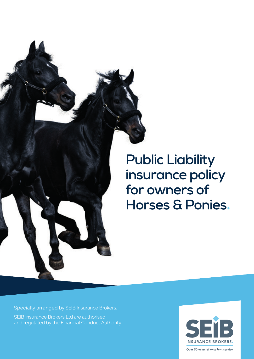

# **Public Liability insurance policy for owners of Horses & Ponies**◆

Specially arranged by SEIB Insurance Brokers. SEIB Insurance Brokers Ltd are authorised and regulated by the Financial Conduct Authority.



Over 50 years of excellent service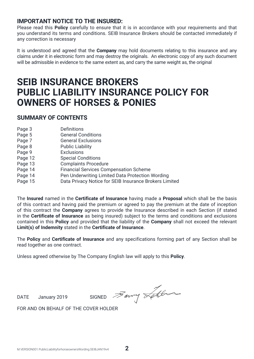# **IMPORTANT NOTICE TO THE INSURED:**

Please read this **Policy** carefully to ensure that it is in accordance with your requirements and that you understand its terms and conditions. SEIB Insurance Brokers should be contacted immediately if any correction is necessary

It is understood and agreed that the **Company** may hold documents relating to this insurance and any claims under it in electronic form and may destroy the originals. An electronic copy of any such document will be admissible in evidence to the same extent as, and carry the same weight as, the original

# **SEIB INSURANCE BROKERS PUBLIC LIABILITY INSURANCE POLICY FOR OWNERS OF HORSES & PONIES**

#### **SUMMARY OF CONTENTS**

| Page 3  | Definitions                                            |
|---------|--------------------------------------------------------|
| Page 5  | <b>General Conditions</b>                              |
| Page 7  | <b>General Exclusions</b>                              |
| Page 8  | <b>Public Liability</b>                                |
| Page 9  | Exclusions                                             |
| Page 12 | <b>Special Conditions</b>                              |
| Page 13 | <b>Complaints Procedure</b>                            |
| Page 14 | <b>Financial Services Compensation Scheme</b>          |
| Page 14 | Pen Underwriting Limited Data Protection Wording       |
| Page 15 | Data Privacy Notice for SEIB Insurance Brokers Limited |
|         |                                                        |

The **Insured** named in the **Certificate of Insurance** having made a **Proposal** which shall be the basis of this contract and having paid the premium or agreed to pay the premium at the date of inception of this contract the **Company** agrees to provide the Insurance described in each Section (if stated in the **Certificate of Insurance** as being insured) subject to the terms and conditions and exclusions contained in this **Policy** and provided that the liability of the **Company** shall not exceed the relevant **Limit(s) of Indemnity** stated in the **Certificate of Insurance**.

The **Policy** and **Certificate of Insurance** and any specifications forming part of any Section shall be read together as one contract.

Unless agreed otherwise by The Company English law will apply to this **Policy**.

DATE January 2019 SIGNED  $\overline{\mathscr{B}}$ arry  $\overline{\mathscr{A}}$ 

FOR AND ON BEHALF OF THE COVER HOLDER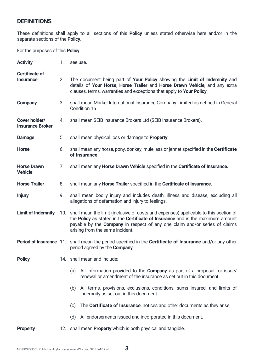# **DEFINITIONS**

These definitions shall apply to all sections of this **Policy** unless stated otherwise here and/or in the separate sections of the **Policy**.

For the purposes of this **Policy**:

| <b>Activity</b>                          | 1.             | see use.                                                                                                                                                                                                                                                                                    |
|------------------------------------------|----------------|---------------------------------------------------------------------------------------------------------------------------------------------------------------------------------------------------------------------------------------------------------------------------------------------|
| Certificate of<br><b>Insurance</b>       | 2 <sub>1</sub> | The document being part of <b>Your Policy</b> showing the <b>Limit of Indemnity</b> and<br>details of Your Horse, Horse Trailer and Horse Drawn Vehicle, and any extra<br>clauses, terms, warranties and exceptions that apply to Your Policy.                                              |
| Company                                  | 3.             | shall mean Markel International Insurance Company Limited as defined in General<br>Condition 16.                                                                                                                                                                                            |
| Cover holder/<br><b>Insurance Broker</b> | 4.             | shall mean SEIB Insurance Brokers Ltd (SEIB Insurance Brokers).                                                                                                                                                                                                                             |
| Damage                                   | 5.             | shall mean physical loss or damage to <b>Property</b> .                                                                                                                                                                                                                                     |
| <b>Horse</b>                             | 6.             | shall mean any horse, pony, donkey, mule, ass or jennet specified in the <b>Certificate</b><br>of Insurance.                                                                                                                                                                                |
| <b>Horse Drawn</b><br><b>Vehicle</b>     | 7.             | shall mean any <b>Horse Drawn Vehicle</b> specified in the <b>Certificate of Insurance.</b>                                                                                                                                                                                                 |
| <b>Horse Trailer</b>                     | 8.             | shall mean any <b>Horse Trailer</b> specified in the <b>Certificate of Insurance.</b>                                                                                                                                                                                                       |
| <b>Injury</b>                            | 9.             | shall mean bodily injury and includes death, illness and disease, excluding all<br>allegations of defamation and injury to feelings.                                                                                                                                                        |
| <b>Limit of Indemnity</b>                |                | 10. shall mean the limit (inclusive of costs and expenses) applicable to this section of<br>the Policy as stated in the Certificate of Insurance and is the maximum amount<br>payable by the Company in respect of any one claim and/or series of claims<br>arising from the same incident. |
|                                          |                | Period of Insurance 11. shall mean the period specified in the Certificate of Insurance and/or any other<br>period agreed by the Company.                                                                                                                                                   |
| <b>Policy</b>                            |                | 14. shall mean and include:                                                                                                                                                                                                                                                                 |
|                                          |                | (a) All information provided to the <b>Company</b> as part of a proposal for issue/<br>renewal or amendment of the insurance as set out in this document.                                                                                                                                   |
|                                          |                | (b) All terms, provisions, exclusions, conditions, sums insured, and limits of<br>indemnity as set out in this document.                                                                                                                                                                    |
|                                          |                | The <b>Certificate of Insurance</b> , notices and other documents as they arise.<br>(c)                                                                                                                                                                                                     |
|                                          |                | (d) All endorsements issued and incorporated in this document.                                                                                                                                                                                                                              |
| <b>Property</b>                          |                | 12. shall mean <b>Property</b> which is both physical and tangible.                                                                                                                                                                                                                         |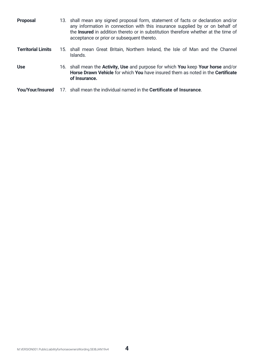| <b>Proposal</b>           | 13. shall mean any signed proposal form, statement of facts or declaration and/or<br>any information in connection with this insurance supplied by or on behalf of<br>the <b>Insured</b> in addition thereto or in substitution therefore whether at the time of<br>acceptance or prior or subsequent thereto. |
|---------------------------|----------------------------------------------------------------------------------------------------------------------------------------------------------------------------------------------------------------------------------------------------------------------------------------------------------------|
| <b>Territorial Limits</b> | 15. shall mean Great Britain, Northern Ireland, the Isle of Man and the Channel<br>Islands.                                                                                                                                                                                                                    |
| <b>Use</b>                | 16. shall mean the <b>Activity, Use</b> and purpose for which <b>You</b> keep <b>Your horse</b> and/or<br>Horse Drawn Vehicle for which You have insured them as noted in the Certificate<br>of Insurance.                                                                                                     |
| You/Your/Insured          | 17. shall mean the individual named in the <b>Certificate of Insurance</b> .                                                                                                                                                                                                                                   |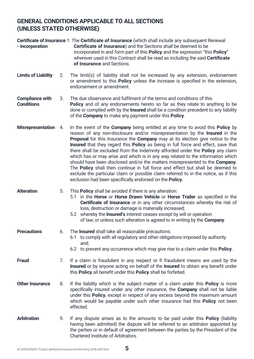# **GENERAL CONDITIONS APPLICABLE TO ALL SECTIONS (UNLESS STATED OTHERWISE)**

| - incorporation                             |    | Certificate of Insurance 1. The Certificate of Insurance (which shall include any subsequent Renewal<br>Certificate of Insurance) and the Sections shall be deemed to be<br>incorporated in and form part of this Policy and the expression "this Policy"<br>wherever used in this Contract shall be read as including the said Certificate<br>of Insurance and Sections.                                                                                                                                                                                                                                                                                                                                                                                                                                                                                                |
|---------------------------------------------|----|--------------------------------------------------------------------------------------------------------------------------------------------------------------------------------------------------------------------------------------------------------------------------------------------------------------------------------------------------------------------------------------------------------------------------------------------------------------------------------------------------------------------------------------------------------------------------------------------------------------------------------------------------------------------------------------------------------------------------------------------------------------------------------------------------------------------------------------------------------------------------|
| <b>Limits of Liability</b>                  | 2. | The limit(s) of liability shall not be increased by any extension, endorsement<br>or amendment to this <b>Policy</b> unless the increase is specified in the extension,<br>endorsement or amendment.                                                                                                                                                                                                                                                                                                                                                                                                                                                                                                                                                                                                                                                                     |
| <b>Compliance with</b><br><b>Conditions</b> | 3. | The due observance and fulfilment of the terms and conditions of this<br>Policy and of any endorsements hereto so far as they relate to anything to be<br>done or complied with by the Insured shall be a condition precedent to any liability<br>of the <b>Company</b> to make any payment under this <b>Policy</b> .                                                                                                                                                                                                                                                                                                                                                                                                                                                                                                                                                   |
| Misrepresentation 4.                        |    | In the event of the <b>Company</b> being entitled at any time to avoid this <b>Policy</b> by<br>reason of any non-disclosure and/or misrepresentation by the <b>Insured</b> in the<br>Proposal for this Insurance the Company may at its election give notice to the<br><b>Insured</b> that they regard this <b>Policy</b> as being in full force and effect, save that<br>there shall be excluded from the Indemnity afforded under the Policy any claim<br>which has or may arise and which is in any way related to the information which<br>should have been disclosed and/or the matters misrepresented to the Company.<br>The <b>Policy</b> shall then continue in full force and effect but shall be deemed to<br>exclude the particular claim or possible claim referred to in the notice, as if this<br>exclusion had been specifically endorsed on the Policy. |
| <b>Alteration</b>                           | 5. | This <b>Policy</b> shall be avoided if there is any alteration:<br>5.1 in the Horse or Horse Drawn Vehicle or Horse Trailer as specified in the<br>Certificate of Insurance or in any other circumstances whereby the risk of<br>loss, destruction or damage is materially increased;<br>5.2 whereby the Insured's interest ceases except by will or operation<br>of law; or unless such alteration is agreed to in writing by the Company.                                                                                                                                                                                                                                                                                                                                                                                                                              |
| <b>Precautions</b>                          | 6. | The <b>Insured</b> shall take all reasonable precautions:<br>to comply with all regulatory and other obligations imposed by authority<br>6.1<br>and:<br>6.2 to prevent any occurrence which may give rise to a claim under this <b>Policy</b> .                                                                                                                                                                                                                                                                                                                                                                                                                                                                                                                                                                                                                          |
| <b>Fraud</b>                                | 7. | If a claim is fraudulent in any respect or if fraudulent means are used by the<br>Insured or by anyone acting on behalf of the Insured to obtain any benefit under<br>this Policy all benefit under this Policy shall be forfeited.                                                                                                                                                                                                                                                                                                                                                                                                                                                                                                                                                                                                                                      |
| <b>Other Insurance</b>                      | 8. | If the liability which is the subject matter of a claim under this <b>Policy</b> is more<br>specifically insured under any other insurance, the <b>Company</b> shall not be liable<br>under this Policy, except in respect of any excess beyond the maximum amount<br>which would be payable under such other insurance had this Policy not been<br>effected.                                                                                                                                                                                                                                                                                                                                                                                                                                                                                                            |
| <b>Arbitration</b>                          | 9. | If any dispute arises as to the amounts to be paid under this <b>Policy</b> (liability<br>having been admitted) the dispute will be referred to an arbitrator appointed by<br>the parties or in default of agreement between the parties by the President of the<br>Chartered Institute of Arbitrators.                                                                                                                                                                                                                                                                                                                                                                                                                                                                                                                                                                  |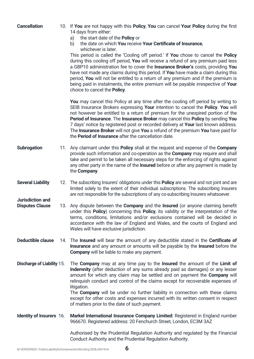| <b>Cancellation</b>                        | 10. If You are not happy with this Policy, You can cancel Your Policy during the first<br>14 days from either:<br>the start date of the <b>Policy</b> or<br>a)<br>the date on which You receive Your Certificate of Insurance,<br>b)<br>whichever is later.<br>This period is called the 'Cooling off period.' If You chose to cancel the Policy<br>during this cooling off period, You will receive a refund of any premium paid less<br>a GBP10 administration fee to cover the Insurance Broker's costs, providing You<br>have not made any claims during this period. If You have made a claim during this<br>period, You will not be entitled to a return of any premium and if the premium is<br>being paid in instalments, the entire premium will be payable irrespective of Your<br>choice to cancel the Policy. |
|--------------------------------------------|---------------------------------------------------------------------------------------------------------------------------------------------------------------------------------------------------------------------------------------------------------------------------------------------------------------------------------------------------------------------------------------------------------------------------------------------------------------------------------------------------------------------------------------------------------------------------------------------------------------------------------------------------------------------------------------------------------------------------------------------------------------------------------------------------------------------------|
|                                            | You may cancel this Policy at any time after the cooling off period by writing to<br>SEIB Insurance Brokers expressing Your intention to cancel the Policy. You will<br>not however be entitled to a return of premium for the unexpired portion of the<br>Period of Insurance. The Insurance Broker may cancel this Policy by sending You<br>7 days' notice by registered post or recorded delivery at Your last known address.<br>The Insurance Broker will not give You a refund of the premium You have paid for<br>the <b>Period of Insurance</b> after the cancellation date.                                                                                                                                                                                                                                       |
| Subrogation                                | 11. Any claimant under this <b>Policy</b> shall at the request and expense of the <b>Company</b><br>provide such information and co-operation as the <b>Company</b> may require and shall<br>take and permit to be taken all necessary steps for the enforcing of rights against<br>any other party in the name of the <b>Insured</b> before or after any payment is made by<br>the Company.                                                                                                                                                                                                                                                                                                                                                                                                                              |
| <b>Several Liability</b>                   | 12. The subscribing Insurers' obligations under this Policy are several and not joint and are<br>limited solely to the extent of their individual subscriptions. The subscribing Insurers<br>are not responsible for the subscriptions of any co-subscribing Insurers whatsoever.                                                                                                                                                                                                                                                                                                                                                                                                                                                                                                                                         |
| Jurisdiction and<br><b>Disputes Clause</b> | 13. Any dispute between the <b>Company</b> and the Insured (or anyone claiming benefit<br>under this Policy) concerning this Policy, its validity or the interpretation of the<br>terms, conditions, limitations and/or exclusions contained will be decided in<br>accordance with the law of England and Wales, and the courts of England and<br>Wales will have exclusive jurisdiction.                                                                                                                                                                                                                                                                                                                                                                                                                                 |
| Deductible clause                          | 14. The <b>Insured</b> will bear the amount of any deductible stated in the <b>Certificate of</b><br>Insurance and any amount or amounts will be payable by the Insured before the<br>Company will be liable to make any payment.                                                                                                                                                                                                                                                                                                                                                                                                                                                                                                                                                                                         |
| <b>Discharge of Liability 15.</b>          | The Company may at any time pay to the Insured the amount of the Limit of<br>Indemnity (after deduction of any sums already paid as damages) or any lesser<br>amount for which any claim may be settled and on payment the Company will<br>relinquish conduct and control of the claims except for recoverable expenses of<br>litigation.<br>The Company will be under no further liability in connection with these claims<br>except for other costs and expenses incurred with its written consent in respect<br>of matters prior to the date of such payment.                                                                                                                                                                                                                                                          |
| Identity of Insurers 16.                   | Markel International Insurance Company Limited: Registered in England number<br>966670. Registered address: 20 Fenchurch Street, London, EC3M 3AZ                                                                                                                                                                                                                                                                                                                                                                                                                                                                                                                                                                                                                                                                         |
|                                            | Authorised by the Prudential Regulation Authority and regulated by the Financial<br>Conduct Authority and the Prudential Regulation Authority.                                                                                                                                                                                                                                                                                                                                                                                                                                                                                                                                                                                                                                                                            |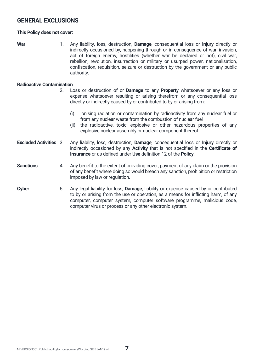# **GENERAL EXCLUSIONS**

#### **This Policy does not cover:**

**War** 1. Any liability, loss, destruction, **Damage**, consequential loss or **Injury** directly or indirectly occasioned by, happening through or in consequence of war, invasion, act of foreign enemy, hostilities (whether war be declared or not), civil war, rebellion, revolution, insurrection or military or usurped power, nationalisation, confiscation, requisition, seizure or destruction by the government or any public authority.

#### **Radioactive Contamination**

- 2. Loss or destruction of or **Damage** to any **Property** whatsoever or any loss or expense whatsoever resulting or arising therefrom or any consequential loss directly or indirectly caused by or contributed to by or arising from:
	- (i) ionising radiation or contamination by radioactivity from any nuclear fuel or from any nuclear waste from the combustion of nuclear fuel
	- (ii) the radioactive, toxic, explosive or other hazardous properties of any explosive nuclear assembly or nuclear component thereof
- **Excluded Activities** 3. Any liability, loss, destruction, **Damage**, consequential loss or **Injury** directly or indirectly occasioned by any **Activity** that is not specified in the **Certificate of Insurance** or as defined under **Use** definition 12 of the **Policy**.
- **Sanctions** 4. Any benefit to the extent of providing cover, payment of any claim or the provision of any benefit where doing so would breach any sanction, prohibition or restriction imposed by law or regulation.
	- **Cyber** 5. Any legal liability for loss, **Damage**, liability or expense caused by or contributed to by or arising from the use or operation, as a means for inflicting harm, of any computer, computer system, computer software programme, malicious code, computer virus or process or any other electronic system.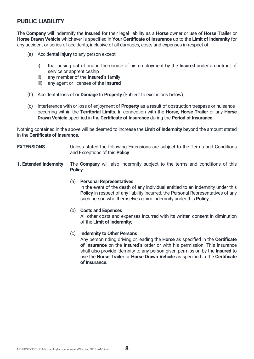# **PUBLIC LIABILITY**

The **Company** will indemnify the **Insured** for their legal liability as a **Horse** owner or use of **Horse Trailer** or **Horse Drawn Vehicle** whichever is specified in **Your Certificate of Insurance** up to the **Limit of Indemnity** for any accident or series of accidents, inclusive of all damages, costs and expenses in respect of:

- (a) Accidental **Injury** to any person except
	- i) that arising out of and in the course of his employment by the **Insured** under a contract of service or apprenticeship
	- ii) any member of the **Insured's** family
	- iii) any agent or licensee of the **Insured**
- (b) Accidental loss of or **Damage** to **Property** (Subject to exclusions below).
- (c) Interference with or loss of enjoyment of **Property** as a result of obstruction trespass or nuisance occurring within the **Territorial Limits**. In connection with the **Horse**, **Horse Trailer** or any **Horse Drawn Vehicle** specified in the **Certificate of Insurance** during the **Period of Insurance**.

Nothing contained in the above will be deemed to increase the **Limit of Indemnity** beyond the amount stated in the **Certificate of Insurance.**

- **EXTENSIONS** Unless stated the following Extensions are subject to the Terms and Conditions and Exceptions of this **Policy**.
- **1. Extended Indemnity** The **Company** will also indemnify subject to the terms and conditions of this **Policy**:

#### (a) **Personal Representatives**

In the event of the death of any individual entitled to an indemnity under this **Policy** in respect of any liability incurred, the Personal Representatives of any such person who themselves claim indemnity under this **Policy**;

#### (b) **Costs and Expenses**

All other costs and expenses incurred with its written consent in diminution of the **Limit of Indemnity**;

#### (c) **Indemnity to Other Persons**

Any person riding driving or leading the **Horse** as specified in the **Certificate of Insurance** on the **Insured's** order or with his permission. This insurance shall also provide idemnity to any person given permission by the **Insured** to use the **Horse Trailer** or **Horse Drawn Vehicle** as specified in the **Certificate of Insurance.**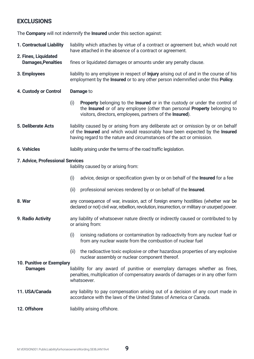# **EXCLUSIONS**

The **Company** will not indemnify the **Insured** under this section against:

- **1. Contractual Liability** liability which attaches by virtue of a contract or agreement but, which would not have attached in the absence of a contract or agreement.
- **2. Fines, Liquidated**  fines or liquidated damages or amounts under any penalty clause.
- **3. Employees** liability to any employee in respect of **Injury** arising out of and in the course of his employment by the **Insured** or to any other person indemnified under this **Policy**.
- **4. Custody or Control Damage** to
	- (i) **Property** belonging to the **Insured** or in the custody or under the control of the **Insured** or of any employee (other than personal **Property** belonging to visitors, directors, employees, partners of the **Insured**).
- **5. Deliberate Acts** liability caused by or arising from any deliberate act or omission by or on behalf of the **Insured** and which would reasonably have been expected by the **Insured** having regard to the nature and circumstances of the act or omission.
- **6. Vehicles** liability arising under the terms of the road traffic legislation.

#### **7. Advice, Professional Services**

liability caused by or arising from:

- (i) advice, design or specification given by or on behalf of the **Insured** for a fee
- (ii) professional services rendered by or on behalf of the **Insured**.
- **8. War** any consequence of war, invasion, act of foreign enemy hostilities (whether war be declared or not) civil war, rebellion, revolution, insurrection, or military or usurped power.
- **9. Radio Activity** any liability of whatsoever nature directly or indirectly caused or contributed to by or arising from:
	- (i) ionising radiations or contamination by radioactivity from any nuclear fuel or from any nuclear waste from the combustion of nuclear fuel
	- (ii) the radioactive toxic explosive or other hazardous properties of any explosive nuclear assembly or nuclear component thereof.

#### **10. Punitive or Exemplary**

- **Damages** liability for any award of punitive or exemplary damages whether as fines, penalties, multiplication of compensatory awards of damages or in any other form whatsoever.
- **11. USA/Canada** any liability to pay compensation arising out of a decision of any court made in accordance with the laws of the United States of America or Canada.
- **12. Offshore** liability arising offshore.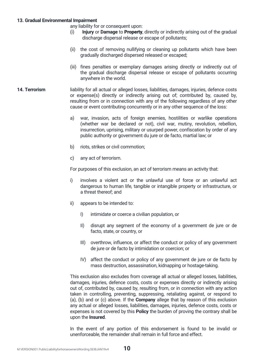#### **13. Gradual Environmental Impairment**

any liability for or consequent upon:

- (i) **Injury** or **Damage** to Property, directly or indirectly arising out of the gradual discharge dispersal release or escape of pollutants;
- (ii) the cost of removing nullifying or cleaning up pollutants which have been gradually discharged dispersed released or escaped;
- (iii) fines penalties or exemplary damages arising directly or indirectly out of the gradual discharge dispersal release or escape of pollutants occurring anywhere in the world.
- **14. Terrorism** liability for all actual or alleged losses, liabilities, damages, injuries, defence costs or expense(s) directly or indirectly arising out of; contributed by, caused by, resulting from or in connection with any of the following regardless of any other cause or event contributing concurrently or in any other sequence of the loss:
	- a) war, invasion, acts of foreign enemies, hostilities or warlike operations (whether war be declared or not), civil war, mutiny, revolution, rebellion, insurrection, uprising, military or usurped power, confiscation by order of any public authority or government du jure or de facto, martial law; or
	- b) riots, strikes or civil commotion;
	- c) any act of terrorism.

For purposes of this exclusion, an act of terrorism means an activity that:

- i) involves a violent act or the unlawful use of force or an unlawful act dangerous to human life, tangible or intangible property or infrastructure, or a threat thereof; and
- ii) appears to be intended to:
	- I) intimidate or coerce a civilian population, or
	- II) disrupt any segment of the economy of a government de jure or de facto, state, or country, or
	- III) overthrow, influence, or affect the conduct or policy of any government de jure or de facto by intimidation or coercion; or
	- IV) affect the conduct or policy of any government de jure or de facto by mass destruction, assassination, kidnapping or hostage-taking.

This exclusion also excludes from coverage all actual or alleged losses, liabilities, damages, injuries, defence costs, costs or expenses directly or indirectly arising out of, contributed by, caused by, resulting from, or in connection with any action taken in controlling, preventing, suppressing, retaliating against, or respond to (a), (b) and or (c) above. If the **Company** allege that by reason of this exclusion any actual or alleged losses, liabilities, damages, injuries, defence costs, costs or expenses is not covered by this **Policy** the burden of proving the contrary shall be upon the **Insured**.

In the event of any portion of this endorsement is found to be invalid or unenforceable, the remainder shall remain in full force and effect.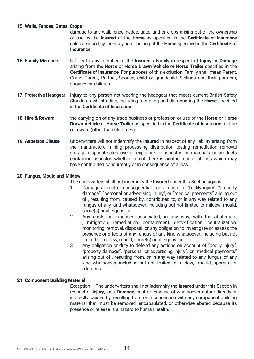#### **15. Walls, Fences, Gates, Crops**

 damage to any wall, fence, hedge, gate, land or crops arising out of the ownership or use by the **Insured** of the **Horse** as specified in the **Certificate of Insurance** unless caused by the straying or bolting of the **Horse** specified in the **Certificate of Insurance.**

- **16. Family Members** liability to any member of the **Insured's** Family in respect of **Injury** or **Damage** arising from the **Horse** or **Horse Drawn Vehicle** or **Horse Trailer** specified in the **Certificate of Insurance**. For purposes of this exclusion, Family shall mean Parent, Grand Parent, Partner, Spouse, child or grandchild, Siblings and their partners, spouses or children.
- **17. Protective Headgear Injury** to any person not wearing the headgear that meets current British Safety Standards whilst riding, including mounting and dismounting the **Horse** specified in the **Certificate of Insurance**.
- **18. Hire & Reward** the carrying on of any trade business or profession or use of the **Horse** or **Horse Drawn Vehicle** or **Horse Trailer** as specified in the **Certificate of Insurance** for hire or reward (other than stud fees).
- **19. Asbestos Clause** Underwriters will not indemnify the **Insured** in respect of any liability arising from the manufacture mining processing distribution testing remediation removal storage disposal sales use or exposure to asbestos or materials or products containing asbestos whether or not there is another cause of loss which may have contributed concurrently or in consequence of a loss.

#### **20. Fungus, Mould and Mildew**

The underwriters shall not indemnify the **Insured** under this Section against

- 1 Damages direct or consequential , on account of "bodily injury", "property damage", "personal or advertising injury", or "medical payments" arising out of , resulting from, caused by, contributed to, or in any way related to any fungus of any kind whatsoever, including but not limited to mildew, mould, spore(s) or allergens: or
- 2 Any costs or expenses associated, in any way, with the abatement , mitigation, remediation, containment, detoxification, neutralization, monitoring, removal, disposal, or any obligation to investigate or assess the presence or effects of any fungus of any kind whatsoever, including but not limited to mildew, mould, spore(s) or allergens: or
- 3 Any obligation or duty to defend any actions on account of "bodily injury", "property damage", "personal or advertising injury", or "medical payments" arising out of , resulting from, or in any way related to any fungus of any kind whatsoever, including but not limited to mildew, mould, spore(s) or allergens.

#### **21. Component Building Material**

Exception – The underwriters shall not indemnify the **Insured** under this Section in respect of **Injury**, loss, **Damage**, cost or expense of whatsoever nature directly or indirectly caused by, resulting from or in connection with any component building material that must be removed, encapsulated, or otherwise abated because its presence or release is a hazard to human health.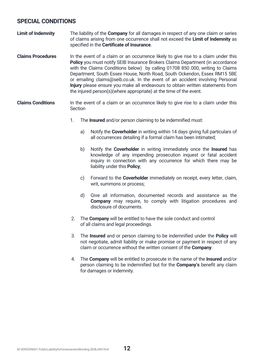# **SPECIAL CONDITIONS**

- **Limit of Indemnity** The liability of the **Company** for all damages in respect of any one claim or series of claims arising from one occurrence shall not exceed the **Limit of Indemnity** as specified in the **Certificate of Insurance**.
- **Claims Procedures** In the event of a claim or an occurrence likely to give rise to a claim under this **Policy** you must notify SEIB Insurance Brokers Claims Department (in accordance with the Claims Conditions below) by calling 01708 850 000, writing to Claims Department, South Essex House, North Road, South Ockendon, Essex RM15 5BE or emailing claims@seib.co.uk. In the event of an accident involving Personal **Injury** please ensure you make all endeavours to obtain written statements from the injured person(s)(where appropriate) at the time of the event.
- **Claims Conditions** In the event of a claim or an occurrence likely to give rise to a claim under this Section
	- 1. The **Insured** and/or person claiming to be indemnified must:
		- a) Notify the **Coverholder** in writing within 14 days giving full particulars of all occurrences detailing if a formal claim has been intimated;
		- b) Notify the **Coverholder** in writing immediately once the **Insured** has knowledge of any impending prosecution inquest or fatal accident inquiry in connection with any occurrence for which there may be liability under this **Policy**;
		- c) Forward to the **Coverholder** immediately on receipt, every letter, claim, writ, summons or process;
		- d) Give all information, documented records and assistance as the **Company** may require, to comply with litigation procedures and disclosure of documents.
	- 2. The **Company** will be entitled to have the sole conduct and control of all claims and legal proceedings.
	- 3. The **Insured** and or person claiming to be indemnified under the **Policy** will not negotiate, admit liability or make promise or payment in respect of any claim or occurrence without the written consent of the **Company**.
	- 4. The **Company** will be entitled to prosecute in the name of the **Insured** and/or person claiming to be indemnified but for the **Company's** benefit any claim for damages or indemnity.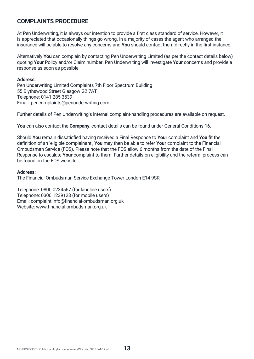# **COMPLAINTS PROCEDURE**

At Pen Underwriting, it is always our intention to provide a first class standard of service. However, it is appreciated that occasionally things go wrong. In a majority of cases the agent who arranged the insurance will be able to resolve any concerns and **You** should contact them directly in the first instance.

Alternatively **You** can complain by contacting Pen Underwriting Limited (as per the contact details below) quoting **Your** Policy and/or Claim number. Pen Underwriting will investigate **Your** concerns and provide a response as soon as possible.

#### **Address:**

Pen Underwriting Limited Complaints 7th Floor Spectrum Building 55 Blythswood Street Glasgow G2 7AT Telephone: 0141 285 3539 Email: pencomplaints@penunderwriting.com

Further details of Pen Underwriting's internal complaint-handling procedures are available on request.

**You** can also contact the **Company**, contact details can be found under General Conditions 16.

Should **You** remain dissatisfied having received a Final Response to **Your** complaint and **You** fit the definition of an 'eligible complainant', **You** may then be able to refer **Your** complaint to the Financial Ombudsman Service (FOS). Please note that the FOS allow 6 months from the date of the Final Response to escalate **Your** complaint to them. Further details on eligibility and the referral process can be found on the FOS website.

#### **Address:**

The Financial Ombudsman Service Exchange Tower London E14 9SR

Telephone: 0800 0234567 (for landline users) Telephone: 0300 1239123 (for mobile users) Email: complaint.info@financial-ombudsman.org.uk Website: www.financial-ombudsman.org.uk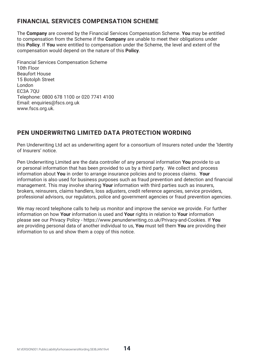# **FINANCIAL SERVICES COMPENSATION SCHEME**

The **Company** are covered by the Financial Services Compensation Scheme. **You** may be entitled to compensation from the Scheme if the **Company** are unable to meet their obligations under this **Policy**. If **You** were entitled to compensation under the Scheme, the level and extent of the compensation would depend on the nature of this **Policy**.

Financial Services Compensation Scheme 10th Floor Beaufort House 15 Botolph Street London EC3A 7QU Telephone: 0800 678 1100 or 020 7741 4100 Email: enquiries@fscs.org.uk www.fscs.org.uk.

# **PEN UNDERWRITNG LIMITED DATA PROTECTION WORDING**

Pen Underwriting Ltd act as underwriting agent for a consortium of Insurers noted under the 'Identity of Insurers' notice.

Pen Underwriting Limited are the data controller of any personal information **You** provide to us or personal information that has been provided to us by a third party. We collect and process information about **You** in order to arrange insurance policies and to process claims. **Your** information is also used for business purposes such as fraud prevention and detection and financial management. This may involve sharing **Your** information with third parties such as insurers, brokers, reinsurers, claims handlers, loss adjusters, credit reference agencies, service providers, professional advisors, our regulators, police and government agencies or fraud prevention agencies.

We may record telephone calls to help us monitor and improve the service we provide. For further information on how **Your** information is used and **Your** rights in relation to **Your** information please see our Privacy Policy - https://www.penunderwriting.co.uk/Privacy-and-Cookies. If **You** are providing personal data of another individual to us, **You** must tell them **You** are providing their information to us and show them a copy of this notice.

**14**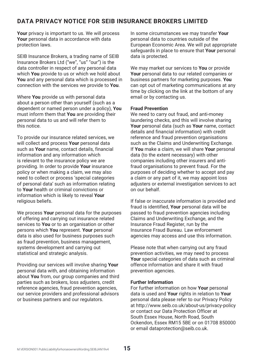# **DATA PRIVACY NOTICE FOR SEIB INSURANCE BROKERS LIMITED**

**Your** privacy is important to us. We will process **Your** personal data in accordance with data protection laws.

SEIB Insurance Brokers, a trading name of SEIB Insurance Brokers Ltd ("we", "us" "our") is the data controller in respect of any personal data which **You** provide to us or which we hold about **You** and any personal data which is processed in connection with the services we provide to **You**.

Where **You** provide us with personal data about a person other than yourself (such as a dependent or named person under a policy), **You** must inform them that **You** are providing their personal data to us and will refer them to this notice.

To provide our insurance related services, we will collect and process **Your** personal data such as **Your** name, contact details, financial information and any information which is relevant to the insurance policy we are providing. In order to provide **Your** insurance policy or when making a claim, we may also need to collect or process 'special categories of personal data' such as information relating to **Your** health or criminal convictions or information which is likely to reveal **Your** religious beliefs.

We process **Your** personal data for the purposes of offering and carrying out insurance related services to **You** or to an organisation or other persons which **You** represent. **Your** personal data is also used for business purposes such as fraud prevention, business management, systems development and carrying out statistical and strategic analysis.

Providing our services will involve sharing **Your** personal data with, and obtaining information about **You** from, our group companies and third parties such as brokers, loss adjusters, credit reference agencies, fraud prevention agencies, our service providers and professional advisors or business partners and our regulators.

In some circumstances we may transfer **Your** personal data to countries outside of the European Economic Area. We will put appropriate safeguards in place to ensure that **Your** personal data is protected.

We may market our services to **You** or provide **Your** personal data to our related companies or business partners for marketing purposes. **You** can opt out of marketing communications at any time by clicking on the link at the bottom of any email or by contacting us.

#### **Fraud Prevention**

We need to carry out fraud, and anti-money laundering checks, and this will involve sharing **Your** personal data (such as **Your** name, contact details and financial information) with credit reference and fraud prevention organisations such as the Claims and Underwriting Exchange. If **You** make a claim, we will share **Your** personal data (to the extent necessary) with other companies including other insurers and antifraud organisations to prevent fraud. For the purposes of deciding whether to accept and pay a claim or any part of it, we may appoint loss adjusters or external investigation services to act on our behalf.

If false or inaccurate information is provided and fraud is identified, **Your** personal data will be passed to fraud prevention agencies including Claims and Underwriting Exchange, and the Insurance Fraud Register, run by the Insurance Fraud Bureau. Law enforcement agencies may access and use this information.

Please note that when carrying out any fraud prevention activities, we may need to process **Your** special categories of data such as criminal offence information and share it with fraud prevention agencies.

#### **Further Information**

For further information on how **Your** personal data is used and **Your** rights in relation to **Your** personal data please refer to our Privacy Policy at http://www.seib.co.uk/about-us/privacy-policy or contact our Data Protection Officer at South Essex House, North Road, South Ockendon, Essex RM15 5BE or on 01708 850000 or email dataprotection@seib.co.uk.